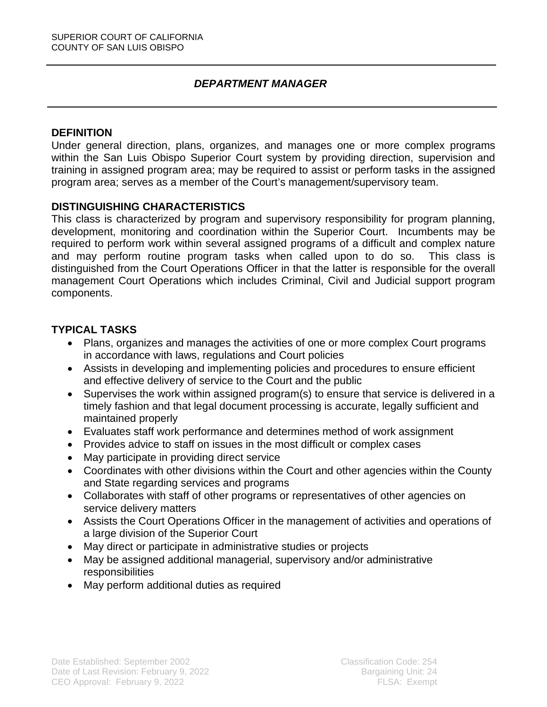#### *DEPARTMENT MANAGER*

#### **DEFINITION**

Under general direction, plans, organizes, and manages one or more complex programs within the San Luis Obispo Superior Court system by providing direction, supervision and training in assigned program area; may be required to assist or perform tasks in the assigned program area; serves as a member of the Court's management/supervisory team.

#### **DISTINGUISHING CHARACTERISTICS**

This class is characterized by program and supervisory responsibility for program planning, development, monitoring and coordination within the Superior Court. Incumbents may be required to perform work within several assigned programs of a difficult and complex nature and may perform routine program tasks when called upon to do so. This class is distinguished from the Court Operations Officer in that the latter is responsible for the overall management Court Operations which includes Criminal, Civil and Judicial support program components.

## **TYPICAL TASKS**

- Plans, organizes and manages the activities of one or more complex Court programs in accordance with laws, regulations and Court policies
- Assists in developing and implementing policies and procedures to ensure efficient and effective delivery of service to the Court and the public
- Supervises the work within assigned program(s) to ensure that service is delivered in a timely fashion and that legal document processing is accurate, legally sufficient and maintained properly
- Evaluates staff work performance and determines method of work assignment
- Provides advice to staff on issues in the most difficult or complex cases
- May participate in providing direct service
- Coordinates with other divisions within the Court and other agencies within the County and State regarding services and programs
- Collaborates with staff of other programs or representatives of other agencies on service delivery matters
- Assists the Court Operations Officer in the management of activities and operations of a large division of the Superior Court
- May direct or participate in administrative studies or projects
- May be assigned additional managerial, supervisory and/or administrative **responsibilities**
- May perform additional duties as required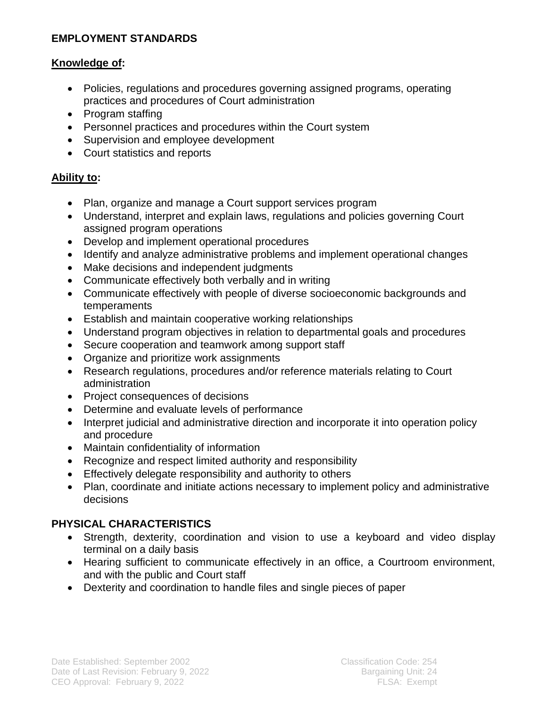# **EMPLOYMENT STANDARDS**

### **Knowledge of:**

- Policies, regulations and procedures governing assigned programs, operating practices and procedures of Court administration
- Program staffing
- Personnel practices and procedures within the Court system
- Supervision and employee development
- Court statistics and reports

## **Ability to:**

- Plan, organize and manage a Court support services program
- Understand, interpret and explain laws, regulations and policies governing Court assigned program operations
- Develop and implement operational procedures
- Identify and analyze administrative problems and implement operational changes
- Make decisions and independent judgments
- Communicate effectively both verbally and in writing
- Communicate effectively with people of diverse socioeconomic backgrounds and temperaments
- Establish and maintain cooperative working relationships
- Understand program objectives in relation to departmental goals and procedures
- Secure cooperation and teamwork among support staff
- Organize and prioritize work assignments
- Research regulations, procedures and/or reference materials relating to Court administration
- Project consequences of decisions
- Determine and evaluate levels of performance
- Interpret judicial and administrative direction and incorporate it into operation policy and procedure
- Maintain confidentiality of information
- Recognize and respect limited authority and responsibility
- Effectively delegate responsibility and authority to others
- Plan, coordinate and initiate actions necessary to implement policy and administrative decisions

# **PHYSICAL CHARACTERISTICS**

- Strength, dexterity, coordination and vision to use a keyboard and video display terminal on a daily basis
- Hearing sufficient to communicate effectively in an office, a Courtroom environment, and with the public and Court staff
- Dexterity and coordination to handle files and single pieces of paper